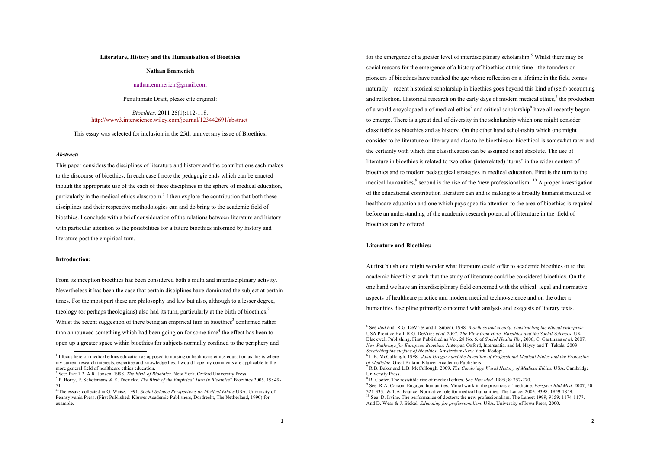# **Literature, History and the Humanisation of Bioethics**

# **Nathan Emmerich**

## nathan.emmerich@gmail.com

### Penultimate Draft, please cite original:

## *Bioethics.* 2011 25(1):112-118. http://www3.interscience.wiley.com/journal/123442691/abstract

This essay was selected for inclusion in the 25th anniversary issue of Bioethics.

#### *Abstract:*

This paper considers the disciplines of literature and history and the contributions each makes to the discourse of bioethics. In each case I note the pedagogic ends which can be enacted though the appropriate use of the each of these disciplines in the sphere of medical education, particularly in the medical ethics classroom.<sup>1</sup> I then explore the contribution that both these disciplines and their respective methodologies can and do bring to the academic field of bioethics. I conclude with a brief consideration of the relations between literature and history with particular attention to the possibilities for a future bioethics informed by history and literature post the empirical turn.

# **Introduction:**

From its inception bioethics has been considered both a multi and interdisciplinary activity. Nevertheless it has been the case that certain disciplines have dominated the subject at certain times. For the most part these are philosophy and law but also, although to a lesser degree, theology (or perhaps theologians) also had its turn, particularly at the birth of bioethics.<sup>2</sup> Whilst the recent suggestion of there being an empirical turn in bioethics<sup>3</sup> confirmed rather than announced something which had been going on for some time<sup>4</sup> the effect has been to open up a greater space within bioethics for subjects normally confined to the periphery and

for the emergence of a greater level of interdisciplinary scholarship.<sup>5</sup> Whilst there may be social reasons for the emergence of a history of bioethics at this time - the founders or pioneers of bioethics have reached the age where reflection on a lifetime in the field comes naturally – recent historical scholarship in bioethics goes beyond this kind of (self) accounting and reflection. Historical research on the early days of modern medical ethics,<sup>6</sup> the production of a world encyclopaedia of medical ethics<sup>7</sup> and critical scholarship<sup>8</sup> have all recently begun to emerge. There is a great deal of diversity in the scholarship which one might consider classifiable as bioethics and as history. On the other hand scholarship which one might consider to be literature or literary and also to be bioethics or bioethical is somewhat rarer and the certainty with which this classification can be assigned is not absolute. The use of literature in bioethics is related to two other (interrelated) 'turns' in the wider context of bioethics and to modern pedagogical strategies in medical education. First is the turn to the medical humanities,<sup>9</sup> second is the rise of the 'new professionalism'.<sup>10</sup> A proper investigation of the educational contribution literature can and is making to a broadly humanist medical or healthcare education and one which pays specific attention to the area of bioethics is required before an understanding of the academic research potential of literature in the field of bioethics can be offered.

#### **Literature and Bioethics:**

At first blush one might wonder what literature could offer to academic bioethics or to the academic bioethicist such that the study of literature could be considered bioethics. On the one hand we have an interdisciplinary field concerned with the ethical, legal and normative aspects of healthcare practice and modern medical techno-science and on the other a humanities discipline primarily concerned with analysis and exegesis of literary texts.

 $1$  I focus here on medical ethics education as opposed to nursing or healthcare ethics education as this is where my current research interests, expertise and knowledge lies. I would hope my comments are applicable to the more general field of healthcare ethics education.<br>
<sup>2</sup> See: Part 1.2. A.R. Jonsen. 1998. *The Birth of Bioethics*. New York. Oxford University Press..<br>
<sup>3</sup> P. Borry, P. Schotsmans & K. Dierickx. *The Birth of the Empirica* 

<sup>71.</sup> <sup>4</sup> The essays collected in G. Weisz, 1991. *Social Science Perspectives on Medical Ethics* USA. University of Pennsylvania Press. (First Published: Kluwer Academic Publishers, Dordrecht, The Netherland, 1990) for example.

<sup>5</sup> See *Ibid* and: R.G. DeVries and J. Subedi. 1998. *Bioethics and society: constructing the ethical enterprise.* USA Prentice Hall; R.G. DeVries *et al*. 2007. *The View from Here: Bioethics and the Social Sciences.* UK. Blackwell Publishing. First Published as Vol. 28 No. 6. of *Sociol Health Illn*, 2006; C. Gastmans *et al*. 2007. *New Pathways for European Bioethics* Anterpen-Oxford, Intersentia. and M. Häyry and T. Takala. 2003

<sup>&</sup>lt;sup>6</sup> L.B. McCullough. 1998. *John Gregory and the Invention of Professional Medical Ethics and the Profession* 

*of Medicine.* Great Britain. Kluwer Academic Publishers.<br><sup>7</sup> R.B. Baker and L.B. McCullough. 2009. *The Cambridge World History of Medical Ethics*. USA. Cambridge University Press.

<sup>&</sup>lt;sup>8</sup> R. Cooter. The resistible rise of medical ethics. *Soc Hist Med.* 1995; 8: 257-270.<br><sup>9</sup> See: R.A. Carson. Engaged humanities: Moral work in the precincts of medicine. *Perspect Biol Med.* 2007; 50:<br>321-333. & T.A. Fau <sup>10</sup> See: D. Irvine. The performance of doctors: the new professionalism. The Lancet 1999; 9159: 1174-1177.

And D. Wear & J. Bickel. *Educating for professionalism*. USA. University of Iowa Press, 2000.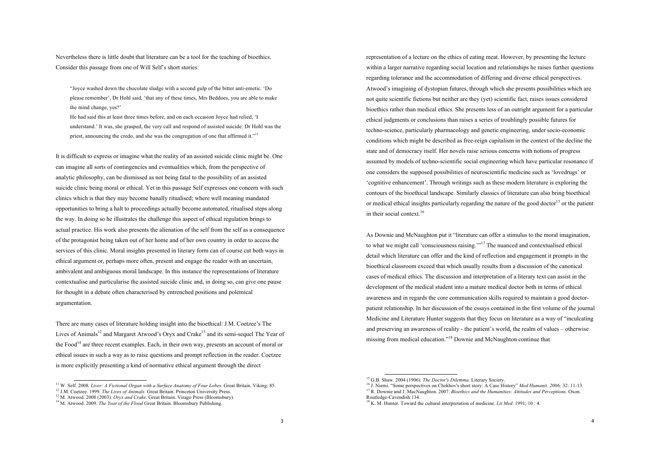Nevertheless there is little doubt that literature can be a tool for the teaching of bioethics. Consider this passage from one of Will Self's short stories:

"Joyce washed down the chocolate sludge with a second gulp of the bitter anti-emetic. 'Do please remember', Dr Hohl said, 'that any of these times, Mrs Beddoes, you are able to make the mind change, yes?'

He had said this at least three times before, and on each occasion Joyce had relied, 'I understand.' It was, she grasped, the very call and respond of assisted suicide: Dr Hohl was the priest, announcing the credo, and she was the congregation of one that affirmed it."<sup>11</sup>

It is difficult to express or imagine what the reality of an assisted suicide clinic might be. One can imagine all sorts of contingencies and eventualities which, from the perspective of analytic philosophy, can be dismissed as not being fatal to the possibility of an assisted suicide clinic being moral or ethical. Yet in this passage Self expresses one concern with such clinics which is that they may become banally ritualised; where well meaning mandated opportunities to bring a halt to proceedings actually become automated, ritualised steps along the way. In doing so he illustrates the challenge this aspect of ethical regulation brings to actual practice. His work also presents the alienation of the self from the self as a consequence of the protagonist being taken out of her home and of her own country in order to access the services of this clinic. Moral insights presented in literary form can of course cut both ways in ethical argument or, perhaps more often, present and engage the reader with an uncertain, ambivalent and ambiguous moral landscape. In this instance the representations of literature contextualise and particularise the assisted suicide clinic and, in doing so, can give one pause for thought in a debate often characterised by entrenched positions and polemical argumentation.

There are many cases of literature holding insight into the bioethical: J.M. Coetzee's The Lives of Animals<sup>12</sup> and Margaret Atwood's Oryx and Crake<sup>13</sup> and its semi-sequel The Year of the Food<sup>14</sup> are three recent examples. Each, in their own way, presents an account of moral or ethical issues in such a way as to raise questions and prompt reflection in the reader. Coetzee is more explicitly presenting a kind of normative ethical argument through the direct

representation of a lecture on the ethics of eating meat. However, by presenting the lecture within a larger narrative regarding social location and relationships he raises further questions regarding tolerance and the accommodation of differing and diverse ethical perspectives. Atwood's imagining of dystopian futures, through which she presents possibilities which are not quite scientific fictions but neither are they (yet) scientific fact, raises issues considered bioethics rather than medical ethics. She presents less of an outright argument for a particular ethical judgments or conclusions than raises a series of troublingly possible futures for techno-science, particularly pharmacology and genetic engineering, under socio-economic conditions which might be described as free-reign capitalism in the context of the decline the state and of democracy itself. Her novels raise serious concerns with notions of progress assumed by models of techno-scientific social engineering which have particular resonance if one considers the supposed possibilities of neuroscientific medicine such as 'lovedrugs' or 'cognitive enhancement'. Through writings such as these modern literature is exploring the contours of the bioethical landscape. Similarly classics of literature can also bring bioethical or medical ethical insights particularly regarding the nature of the good doctor<sup>15</sup> or the patient in their social context.<sup>16</sup>

As Downie and McNaughton put it "literature can offer a stimulus to the moral imagination, to what we might call 'consciousness raising.'"<sup>17</sup> The nuanced and contextualised ethical detail which literature can offer and the kind of reflection and engagement it prompts in the bioethical classroom exceed that which usually results from a discussion of the canonical cases of medical ethics. The discussion and interpretation of a literary text can assist in the development of the medical student into a mature medical doctor both in terms of ethical awareness and in regards the core communication skills required to maintain a good doctorpatient relationship. In her discussion of the essays contained in the first volume of the journal Medicine and Literature Hunter suggests that they focus on literature as a way of "inculcating and preserving an awareness of reality - the patient's world, the realm of values – otherwise missing from medical education."<sup>18</sup> Downie and McNaughton continue that

<sup>&</sup>lt;sup>11</sup> W. Self. 2008. *Liver: A Fictional Organ with a Surface Anatomy of Four Lobes.* Great Britain. Viking: 85.

<sup>&</sup>lt;sup>12</sup> J.M. Coetzee. 1999. *The Lives of Animals*. Great Britain. Princeton University Press.<br><sup>13</sup> M. Atwood. 2008 (2003). *Oryx and Crake.* Great Britain. Virago Press (Bloomsbury).<br><sup>14</sup> M. Atwood. 2009. *The Year of the F* 

<sup>&</sup>lt;sup>15</sup> G.B. Shaw. 2004 (1906). *The Doctor's Dilemma*. Literary Society.<br><sup>16</sup> J. Niemi. "Some perspectives on Chekhov's short story: A Case History" *Med Humanit. 2006*; 32: 11-13.<br><sup>17</sup> R. Downie and J. MacNaughton. 2007.

<sup>&</sup>lt;sup>18</sup> K. M. Hunter. Toward the cultural interpretation of medicine. *Lit Med.* 1991; 10 : 4.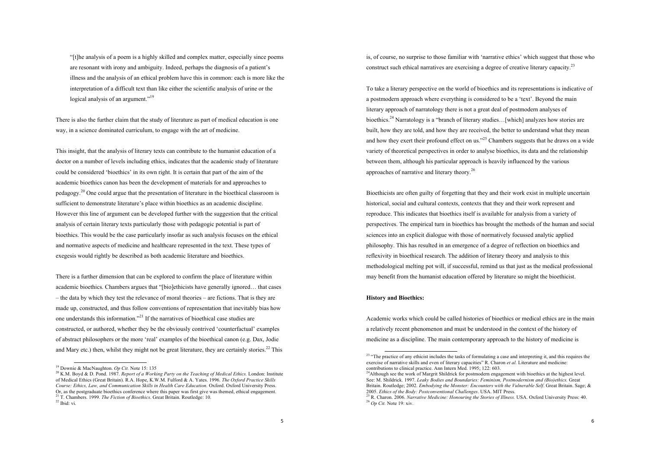"[t]he analysis of a poem is a highly skilled and complex matter, especially since poems are resonant with irony and ambiguity. Indeed, perhaps the diagnosis of a patient's illness and the analysis of an ethical problem have this in common: each is more like the interpretation of a difficult text than like either the scientific analysis of urine or the logical analysis of an argument."<sup>19</sup>

There is also the further claim that the study of literature as part of medical education is one way, in a science dominated curriculum, to engage with the art of medicine.

This insight, that the analysis of literary texts can contribute to the humanist education of a doctor on a number of levels including ethics, indicates that the academic study of literature could be considered 'bioethics' in its own right. It is certain that part of the aim of the academic bioethics canon has been the development of materials for and approaches to pedagogy. <sup>20</sup> One could argue that the presentation of literature in the bioethical classroom is sufficient to demonstrate literature's place within bioethics as an academic discipline. However this line of argument can be developed further with the suggestion that the critical analysis of certain literary texts particularly those with pedagogic potential is part of bioethics. This would be the case particularly insofar as such analysis focuses on the ethical and normative aspects of medicine and healthcare represented in the text. These types of exegesis would rightly be described as both academic literature and bioethics.

There is a further dimension that can be explored to confirm the place of literature within academic bioethics. Chambers argues that "[bio]ethicists have generally ignored… that cases – the data by which they test the relevance of moral theories – are fictions. That is they are made up, constructed, and thus follow conventions of representation that inevitably bias how one understands this information."<sup>21</sup> If the narratives of bioethical case studies are constructed, or authored, whether they be the obviously contrived 'counterfactual' examples of abstract philosophers or the more 'real' examples of the bioethical canon (e.g. Dax, Jodie and Mary etc.) then, whilst they might not be great literature, they are certainly stories.<sup>22</sup> This

is, of course, no surprise to those familiar with 'narrative ethics' which suggest that those who construct such ethical narratives are exercising a degree of creative literary capacity.<sup>23</sup>

To take a literary perspective on the world of bioethics and its representations is indicative of a postmodern approach where everything is considered to be a 'text'. Beyond the main literary approach of narratology there is not a great deal of postmodern analyses of bioethics.<sup>24</sup> Narratology is a "branch of literary studies...[which] analyzes how stories are built, how they are told, and how they are received, the better to understand what they mean and how they exert their profound effect on us."<sup>25</sup> Chambers suggests that he draws on a wide variety of theoretical perspectives in order to analyse bioethics, its data and the relationship between them, although his particular approach is heavily influenced by the various approaches of narrative and literary theory.<sup>26</sup>

Bioethicists are often guilty of forgetting that they and their work exist in multiple uncertain historical, social and cultural contexts, contexts that they and their work represent and reproduce. This indicates that bioethics itself is available for analysis from a variety of perspectives. The empirical turn in bioethics has brought the methods of the human and social sciences into an explicit dialogue with those of normatively focussed analytic applied philosophy. This has resulted in an emergence of a degree of reflection on bioethics and reflexivity in bioethical research. The addition of literary theory and analysis to this methodological melting pot will, if successful, remind us that just as the medical professional may benefit from the humanist education offered by literature so might the bioethicist.

### **History and Bioethics:**

Academic works which could be called histories of bioethics or medical ethics are in the main a relatively recent phenomenon and must be understood in the context of the history of medicine as a discipline. The main contemporary approach to the history of medicine is

<sup>!!!!!!!!!!!!!!!!!!!!!!!!!!!!!!!!!!!!!!!!!!!!!!!!!!!!!!!!!!!!</sup>

<sup>&</sup>lt;sup>19</sup> Downie & MacNaughton. *Op Cit.* Note 15: 135<br><sup>20</sup> K.M. Boyd & D. Pond. 1987. *Report of a Working Party on the Teaching of Medical Ethics.* London: Institute of Medical Ethics (Great Britain). R.A. Hope, K.W.M. Fulford & A. Yates. 1996. *The Oxford Practice Skills Course: Ethics, Law, and Communication Skills in Health Care Education.* Oxford Oxford University Press. Or, as the postgraduate bioethics conference where this paper was first give was themed, ethical engagement. <sup>21</sup> T. Chambers. 1999. *The Fiction of Bioethics*. Great Britain. Routledge: 10. <sup>22</sup> Ibid: vi.

<sup>&</sup>lt;sup>23</sup> "The practice of any ethicist includes the tasks of formulating a case and interpreting it, and this requires the exercise of narrative skills and even of literary capacities" R. Charon *et al.* Literature and medicine: contributions to clinical practice. Ann Intern Med. 1995; 122: 603.

<sup>&</sup>lt;sup>24</sup>Although see the work of Margrit Shildrick for postmodern engagement with bioethics at the highest level. See: M. Shildrick. 1997. *Leaky Bodies and Boundaries: Feminism, Postmodernism and (Bio)ethics.* Great Britain. Routledge; 2002. *Embodying the Monster: Encounters with the Vulnerable Self*. Great Britain. Sage; &

<sup>&</sup>lt;sup>25</sup> R. Charon. 2006. Narrative Medicine: Honouring the Stories of Illness. USA. Oxford University Press: 40.<br><sup>26</sup> Op Cit. Note 19: xiv.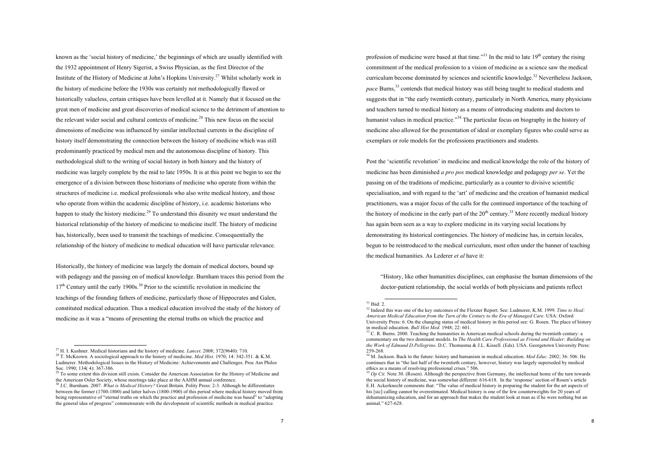known as the 'social history of medicine,' the beginnings of which are usually identified with the 1932 appointment of Henry Sigerist, a Swiss Physician, as the first Director of the Institute of the History of Medicine at John's Hopkins University. <sup>27</sup> Whilst scholarly work in the history of medicine before the 1930s was certainly not methodologically flawed or historically valueless, certain critiques have been levelled at it. Namely that it focused on the great men of medicine and great discoveries of medical science to the detriment of attention to the relevant wider social and cultural contexts of medicine.<sup>28</sup> This new focus on the social dimensions of medicine was influenced by similar intellectual currents in the discipline of history itself demonstrating the connection between the history of medicine which was still predominantly practiced by medical men and the autonomous discipline of history. This methodological shift to the writing of social history in both history and the history of medicine was largely complete by the mid to late 1950s. It is at this point we begin to see the emergence of a division between those historians of medicine who operate from within the structures of medicine i.e. medical professionals who also write medical history, and those who operate from within the academic discipline of history, i.e. academic historians who happen to study the history medicine.<sup>29</sup> To understand this disunity we must understand the historical relationship of the history of medicine to medicine itself. The history of medicine has, historically, been used to transmit the teachings of medicine. Consequentially the relationship of the history of medicine to medical education will have particular relevance.

Historically, the history of medicine was largely the domain of medical doctors, bound up with pedagogy and the passing on of medical knowledge. Burnham traces this period from the  $17<sup>th</sup>$  Century until the early 1900s.<sup>30</sup> Prior to the scientific revolution in medicine the teachings of the founding fathers of medicine, particularly those of Hippocrates and Galen, constituted medical education. Thus a medical education involved the study of the history of medicine as it was a "means of presenting the eternal truths on which the practice and

!!!!!!!!!!!!!!!!!!!!!!!!!!!!!!!!!!!!!!!!!!!!!!!!!!!!!!!!!!!!

profession of medicine were based at that time."<sup>31</sup> In the mid to late  $19<sup>th</sup>$  century the rising commitment of the medical profession to a vision of medicine as a science saw the medical curriculum become dominated by sciences and scientific knowledge.<sup>32</sup> Nevertheless Jackson, pace Burns,<sup>33</sup> contends that medical history was still being taught to medical students and suggests that in "the early twentieth century, particularly in North America, many physicians and teachers turned to medical history as a means of introducing students and doctors to humanist values in medical practice."<sup>34</sup> The particular focus on biography in the history of medicine also allowed for the presentation of ideal or exemplary figures who could serve as exemplars or role models for the professions practitioners and students.

Post the 'scientific revolution' in medicine and medical knowledge the role of the history of medicine has been diminished *a pro pos* medical knowledge and pedagogy *per se*. Yet the passing on of the traditions of medicine, particularly as a counter to divisive scientific specialisation, and with regard to the 'art' of medicine and the creation of humanist medical practitioners, was a major focus of the calls for the continued importance of the teaching of the history of medicine in the early part of the  $20<sup>th</sup>$  century.<sup>35</sup> More recently medical history has again been seen as a way to explore medicine in its varying social locations by demonstrating its historical contingencies. The history of medicine has, in certain locales, begun to be reintroduced to the medical curriculum, most often under the banner of teaching the medical humanities. As Lederer *et al* have it:

"History, like other humanities disciplines, can emphasise the human dimensions of the doctor-patient relationship, the social worlds of both physicians and patients reflect

<sup>27</sup> H. I. Kushner. Medical historians and the history of medicine. *Lancet.* 2008; 372(9640): 710. <sup>28</sup> T. McKeown. A sociological approach to the history of medicine. *Med Hist.* 1970; 14: 342-351. & K.M. Ludmerer. Methodological Issues in the History of Medicine: Achievements and Challenges. Proc Am Philos

 $^{29}$  To some extent this division still exists. Consider the American Association for the History of Medicine and the American Osler Society, whose meetings take place at the AAHM annual conference.

<sup>&</sup>lt;sup>30</sup> J.C. Burnham. 2007. *What is Medical History?* Great Britain. Polity Press: 2-3. Although he differentiates between the former (1700-1800) and latter halves (1800-1900) of this period where medical history moved from being representative of "eternal truths on which the practice and profession of medicine was based" to "adopting the general idea of progress" commensurate with the development of scientific methods in medical practice.

<sup>&</sup>lt;sup>31</sup> Ibid: 2.<br><sup>32</sup> Indeed this was one of the key outcomes of the Flexner Report. See: Ludmerer, K.M. 1999. *Time to Heal: American Medical Education from the Turn of the Century to the Era of Managed Care.* USA: Oxford University Press: 6. On the changing status of medical history in this period see: G. Rosen. The place of history in medical education. *Bull Hist Med.* 1948: 22: 601.

<sup>&</sup>lt;sup>33</sup> C. R. Burns. 2000. Teaching the humanities in American medical schools during the twentieth century: a commentary on the two dominant models. In *The Health Care Professional as Friend and Healer: Building on the Work of Edmund D.Pellegrino.* D.C. Thomasma & J.L. Kissell. (Eds). USA. Georgetown University Press: 259-268. <sup>34</sup> M. Jackson. Back to the future: history and humanism in medical education. *Med Educ.* 2002; 36: 506. He

continues that in "the last half of the twentieth century, however, history was largely superseded by medical ethics as a means of resolving professional crises." 506.<br><sup>35</sup> *Op Cit.* Note 30. (Rosen). Although the perspective from Germany, the intellectual home of the turn towards

the social history of medicine, was somewhat different: 616-618. In the 'response' section of Rosen's article E.H. Ackerknecht comments that: "The value of medical history in preparing the student for the art aspects of his [sic] calling cannot be overestimated. Medical history is one of the few counterweights for 20 years of dehumanizing education, and for an approach that makes the student look at man as if he were nothing but an animal." 627-628.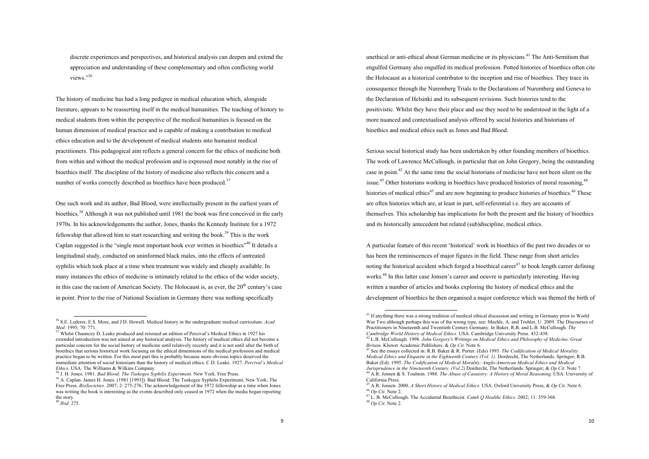discrete experiences and perspectives, and historical analysis can deepen and extend the appreciation and understanding of these complementary and often conflicting world views<sup>"36</sup>

The history of medicine has had a long pedigree in medical education which, alongside literature, appears to be reasserting itself in the medical humanities. The teaching of history to medical students from within the perspective of the medical humanities is focused on the human dimension of medical practice and is capable of making a contribution to medical ethics education and to the development of medical students into humanist medical practitioners. This pedagogical aim reflects a general concern for the ethics of medicine both from within and without the medical profession and is expressed most notably in the rise of bioethics itself. The discipline of the history of medicine also reflects this concern and a number of works correctly described as bioethics have been produced.<sup>37</sup>

One such work and its author, Bad Blood, were intellectually present in the earliest years of bioethics.<sup>38</sup> Although it was not published until 1981 the book was first conceived in the early 1970s. In his acknowledgements the author, Jones, thanks the Kennedy Institute for a 1972 fellowship that allowed him to start researching and writing the book.<sup>39</sup> This is the work Caplan suggested is the "single most important book ever written in bioethics"<sup>40</sup> It details a longitudinal study, conducted on uninformed black males, into the effects of untreated syphilis which took place at a time when treatment was widely and cheaply available. In many instances the ethics of medicine is intimately related to the ethics of the wider society, in this case the racism of American Society. The Holocaust is, as ever, the  $20<sup>th</sup>$  century's case in point. Prior to the rise of National Socialism in Germany there was nothing specifically

!!!!!!!!!!!!!!!!!!!!!!!!!!!!!!!!!!!!!!!!!!!!!!!!!!!!!!!!!!!!

unethical or anti-ethical about German medicine or its physicians.<sup>41</sup> The Anti-Semitism that engulfed Germany also engulfed its medical profession. Potted histories of bioethics often cite the Holocaust as a historical contributor to the inception and rise of bioethics. They trace its consequence through the Nuremberg Trials to the Declarations of Nuremberg and Geneva to the Declaration of Helsinki and its subsequent revisions. Such histories tend to the positivistic. Whilst they have their place and use they need to be understood in the light of a more nuanced and contextualised analysis offered by social histories and historians of bioethics and medical ethics such as Jones and Bad Blood.

Serious social historical study has been undertaken by other founding members of bioethics. The work of Lawrence McCullough, in particular that on John Gregory, being the outstanding case in point.42 At the same time the social historians of medicine have not been silent on the issue.<sup>43</sup> Other historians working in bioethics have produced histories of moral reasoning,<sup>44</sup> histories of medical ethics<sup>45</sup> and are now beginning to produce histories of bioethics.<sup>46</sup> These are often histories which are, at least in part, self-referential i.e. they are accounts of themselves. This scholarship has implications for both the present and the history of bioethics and its historically antecedent but related (sub)discipline, medical ethics.

A particular feature of this recent 'historical' work in bioethics of the past two decades or so has been the reminiscences of major figures in the field. These range from short articles noting the historical accident which forged a bioethical career $^{47}$  to book length career defining works.<sup>48</sup> In this latter case Jonsen's career and oeuvre is particularly interesting. Having written a number of articles and books exploring the history of medical ethics and the development of bioethics he then organised a major conference which was themed the birth of

<sup>36</sup> S.E. Lederer, E.S. More, and J.D. Howell. Medical history in the undergraduate medical curriculum. *Acad Med.* 1995; 70: 771.<br><sup>37</sup> Whilst Chauncey D. Leake produced and reissued an edition of Percival's Medical Ethics in 1927 his

extended introduction was not aimed at any historical analysis. The history of medical ethics did not become a particular concern for the social history of medicine until relatively recently and it is not until after the birth of bioethics that serious historical work focusing on the ethical dimensions of the medical profession and medical practice began to be written. For this most part this is probably because more obvious topics deserved the immediate attention of social historians than the history of medical ethics. C.D. Leake. 1927. *Percival's Medical Ethics.* USA. The Williams & Wilkins Company.<br><sup>38</sup> J. H. Jones. 1981. *Bad Blood: The Tuskegee Syphilis Experiment*. New York. Free Press.<br><sup>39</sup> A. Caplan. James H. Jones. (1981 [1993]). Bad Blood: The Tuskegee Syphilis Ex

Free Press. *BioSocieties.* 2007; 2: 275-276; The acknowledgement of the 1972 fellowship as a time when Jones was writing the book is interesting as the events described only ceased in 1972 when the media began reporting the story.

<sup>40</sup> *Ibid*: 275.

<sup>&</sup>lt;sup>41</sup> If anything there was a strong tradition of medical ethical discussion and writing in Germany prior to World War Two although perhaps this was of the wrong type, see: Maehle, A. and Trohler, U. 2009. The Discourses of Practitioners in Nineteenth and Twentieth Century Germany. In Baker, R.B. and L.B. McCullough. *The* 

*Cambridge World History of Medical Ethics*. USA. Cambridge University Press. 432-438.<br><sup>42</sup> L.B. McCullough. 1998. *John Gregory's Writings on Medical Ethics and Philosophy of Medicine. Great Britain. Kluwer Academic Publi* 

<sup>&</sup>lt;sup>43</sup> See the essays collected in: R.B. Baker & R. Porter. (Eds) 1993. *The Codification of Medical Morality: Medical Ethics and Etiquette in the Eighteenth Century (Vol. 1)*. Dordrecht, The Netherlands. Springer; R.B. Baker (Ed). 1995. *The Codification of Medical Morality: Anglo-American Medical Ethics and Medical*  Jurisprudence in the Nineteenth Century. (Vol.2) Dordrecht, The Netherlands. Springer; & Op Cit. Note 7.<br><sup>44</sup> A.R. Jonsen & S. Toulmin. 1988. The Abuse of Casuistry: A History of Moral Reasoning. USA. University of

California Press.<br>
<sup>45</sup> A.R. Jonsen. 2000. *A Short History of Medical Ethics*. USA. Oxford University Press; & *Op Cit.* Note 6<br>
<sup>46</sup> *Op Cit.* Note 2.<br>
<sup>47</sup> L. B. McCullough. The Accidental Bioethicist. *Camb Q Healthc*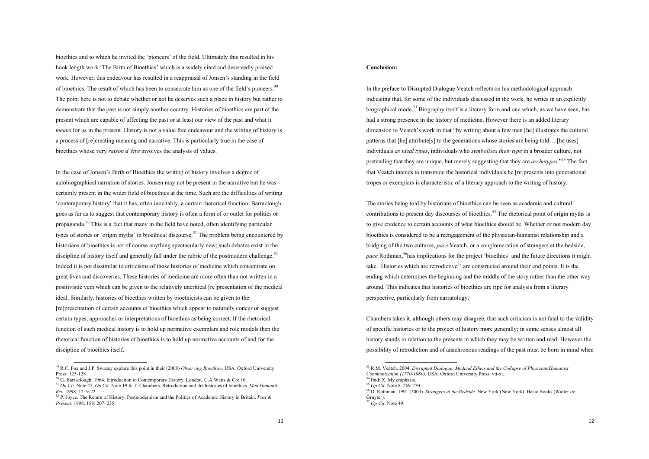bioethics and to which he invited the 'pioneers' of the field. Ultimately this resulted in his book length work 'The Birth of Bioethics' which is a widely cited and deservedly praised work. However, this endeavour has resulted in a reappraisal of Jonsen's standing in the field of bioethics. The result of which has been to consecrate him as one of the field's pioneers.<sup>49</sup> The point here is not to debate whether or not he deserves such a place in history but rather to demonstrate that the past is not simply another country. Histories of bioethics are part of the present which are capable of affecting the past or at least our view of the past and what it *means* for us in the present. History is not a value free endeavour and the writing of history is a process of [re]creating meaning and narrative. This is particularly true in the case of bioethics whose very *raison d'être* involves the analysis of values.

In the case of Jonsen's Birth of Bioethics the writing of history involves a degree of autobiographical narration of stories. Jonsen may not be present in the narrative but he was certainly present in the wider field of bioethics at the time. Such are the difficulties of writing 'contemporary history' that it has, often inevitably, a certain rhetorical function. Barraclough goes as far as to suggest that contemporary history is often a form of or outlet for politics or propaganda.<sup>50</sup> This is a fact that many in the field have noted, often identifying particular types of stories or 'origin myths' in bioethical discourse.<sup>51</sup> The problem being encountered by historians of bioethics is not of course anything spectacularly new; such debates exist in the discipline of history itself and generally fall under the rubric of the postmodern challenge.<sup>52</sup> Indeed it is not dissimilar to criticisms of those histories of medicine which concentrate on great lives and discoveries. These histories of medicine are more often than not written in a positivistic vein which can be given to the relatively uncritical [re]presentation of the medical ideal. Similarly, histories of bioethics written by bioethicists can be given to the [re]presentation of certain accounts of bioethics which appear to naturally concur or suggest certain types, approaches or interpretations of bioethics as being correct. If the rhetorical function of such medical history is to hold up normative exemplars and role models then the rhetorical function of histories of bioethics is to hold up normative accounts of and for the discipline of bioethics itself.

!!!!!!!!!!!!!!!!!!!!!!!!!!!!!!!!!!!!!!!!!!!!!!!!!!!!!!!!!!!!

## **Conclusion:**

In the preface to Disrupted Dialogue Veatch reflects on his methodological approach indicating that, for some of the individuals discussed in the work, he writes in an explicitly biographical mode.<sup>53</sup> Biography itself is a literary form and one which, as we have seen, has had a strong presence in the history of medicine. However there is an added literary dimension to Veatch's work in that "by writing about a few men [he] illustrates the cultural patterns that  $[he]$  attribute $[s]$  to the generations whose stories are being told... [he uses] individuals *as ideal types*, individuals who *symbolises their type* in a broader culture, not pretending that they are unique, but merely suggesting that they are *archetypes*."<sup>54</sup> The fact that Veatch intends to transmute the historical individuals he [re]presents into generational tropes or exemplars is characteristic of a literary approach to the writing of history.

The stories being told by historians of bioethics can be seen as academic and cultural contributions to present day discourses of bioethics.<sup>55</sup> The rhetorical point of origin myths is to give credence to certain accounts of what bioethics should be. Whether or not modern day bioethics is considered to be a reengagement of the physician-humanist relationship and a bridging of the two cultures, *pace* Veatch, or a conglomeration of strangers at the bedside, pace Rothman,<sup>56</sup>has implications for the project 'bioethics' and the future directions it might take. Histories which are retrodictive<sup>57</sup> are constructed around their end points. It is the ending which determines the beginning and the middle of the story rather than the other way around. This indicates that histories of bioethics are ripe for analysis from a literary perspective, particularly from narratology.

Chambers takes it, although others may disagree, that such criticism is not fatal to the validity of specific histories or to the project of history more generally; in some senses almost all history stands in relation to the presents in which they may be written and read. However the possibility of retrodiction and of anachronous readings of the past must be born in mind when

<sup>49</sup> R.C. Fox and J.P. Swazey explore this point in their (2008) *Observing Bioethics.* USA. Oxford University

<sup>&</sup>lt;sup>50</sup> G. Barraclough. 1964. Introduction to Contemporary History. London. C.A.Watts & Co: 16.<br><sup>51</sup> Op Cit. Note 47, Op Cit. Note 19 & T. Chambers. Retrodiction and the histories of bioethics. Med Humanit Rev. 1998: 12: 9-2

<sup>&</sup>lt;sup>52</sup> P. Joyce. The Return of History: Postmodernism and the Politics of Academic History in Britain. *Past & Present.* 1998; 158: 207–235.

<sup>53</sup> R.M. Veatch. 2004. *Disrupted Dialogue: Medical Ethics and the Collapse of Physician/Humanist* 

<sup>&</sup>lt;sup>54</sup> Ibid: X. My emphasis.<br><sup>55</sup> Op Cit. Note 8. 269-270.<br><sup>56</sup> D. Rothman. 1991 (2003). *Strangers at the Bedside*. New York (New York). Basic Books (Walter de Gruyter). <sup>57</sup> *Op Cit.* Note 49.